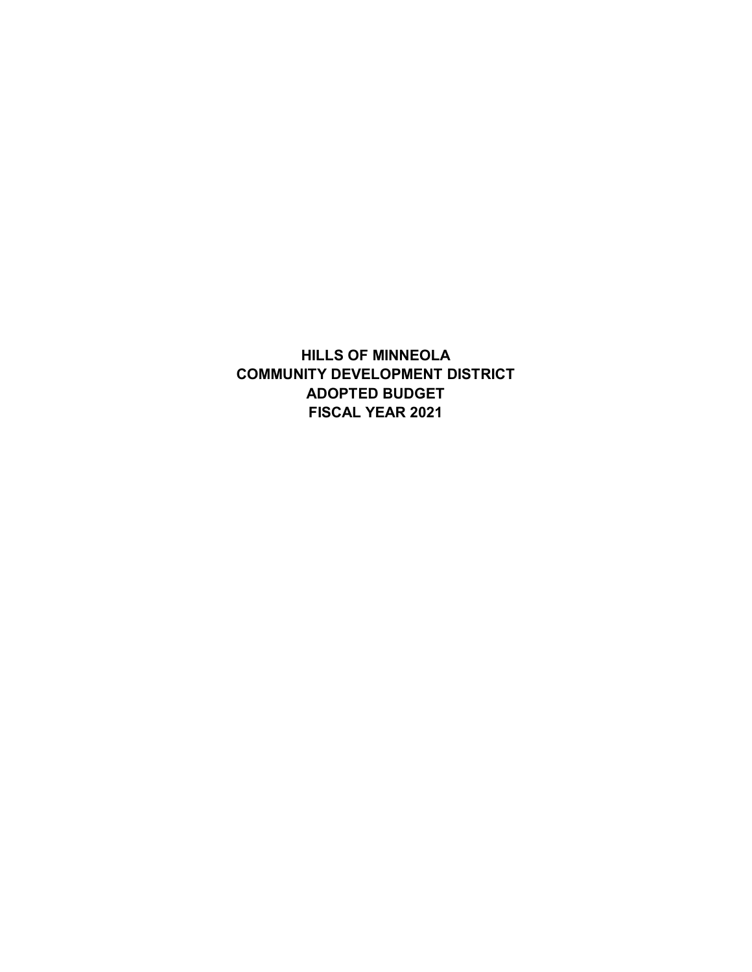**HILLS OF MINNEOLA COMMUNITY DEVELOPMENT DISTRICT ADOPTED BUDGET FISCAL YEAR 2021**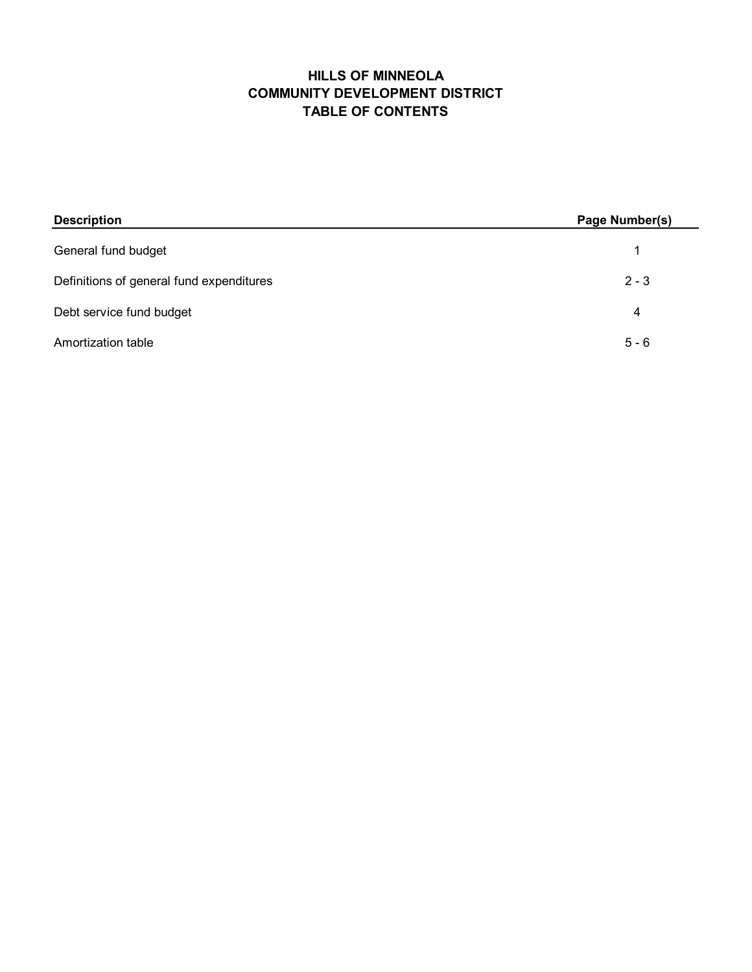# **HILLS OF MINNEOLA TABLE OF CONTENTS COMMUNITY DEVELOPMENT DISTRICT**

| <b>Description</b>                       | Page Number(s) |
|------------------------------------------|----------------|
| General fund budget                      |                |
| Definitions of general fund expenditures | $2 - 3$        |
| Debt service fund budget                 | 4              |
| Amortization table                       | $5 - 6$        |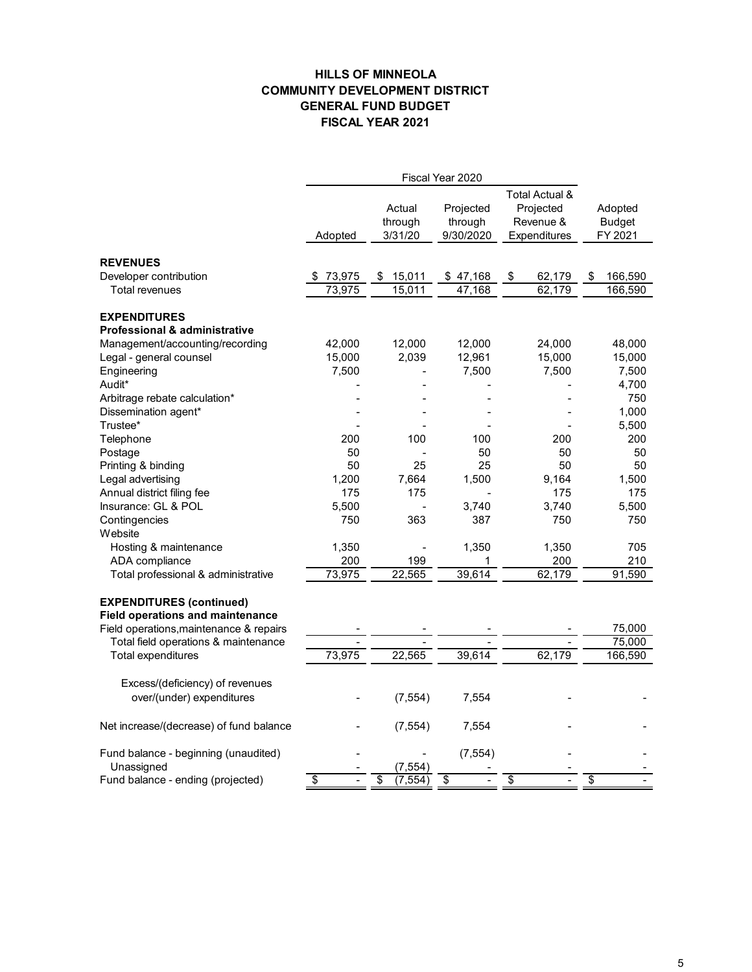# **HILLS OF MINNEOLA GENERAL FUND BUDGET FISCAL YEAR 2021 COMMUNITY DEVELOPMENT DISTRICT**

|                                                                            | Fiscal Year 2020 |                              |                                   |                                                          |                                     |
|----------------------------------------------------------------------------|------------------|------------------------------|-----------------------------------|----------------------------------------------------------|-------------------------------------|
|                                                                            | Adopted          | Actual<br>through<br>3/31/20 | Projected<br>through<br>9/30/2020 | Total Actual &<br>Projected<br>Revenue &<br>Expenditures | Adopted<br><b>Budget</b><br>FY 2021 |
| <b>REVENUES</b>                                                            |                  |                              |                                   |                                                          |                                     |
| Developer contribution                                                     | 73,975           | 15,011<br>\$                 | \$47,168                          | \$<br>62,179                                             | \$<br>166,590                       |
| Total revenues                                                             | 73,975           | 15,011                       | 47,168                            | 62,179                                                   | 166,590                             |
| <b>EXPENDITURES</b>                                                        |                  |                              |                                   |                                                          |                                     |
| <b>Professional &amp; administrative</b>                                   |                  |                              |                                   |                                                          |                                     |
| Management/accounting/recording                                            | 42,000           | 12,000                       | 12,000                            | 24,000                                                   | 48,000                              |
| Legal - general counsel                                                    | 15,000           | 2,039                        | 12,961                            | 15,000                                                   | 15,000                              |
| Engineering                                                                | 7,500            |                              | 7,500                             | 7,500                                                    | 7,500                               |
| Audit*                                                                     |                  |                              |                                   |                                                          | 4,700                               |
| Arbitrage rebate calculation*                                              |                  |                              |                                   |                                                          | 750                                 |
| Dissemination agent*                                                       |                  |                              |                                   |                                                          | 1,000                               |
| Trustee*                                                                   |                  |                              |                                   |                                                          | 5,500                               |
| Telephone                                                                  | 200              | 100                          | 100                               | 200                                                      | 200                                 |
| Postage                                                                    | 50               |                              | 50                                | 50                                                       | 50                                  |
| Printing & binding                                                         | 50               | 25                           | 25                                | 50                                                       | 50                                  |
| Legal advertising                                                          | 1,200            | 7,664                        | 1,500                             | 9,164                                                    | 1,500                               |
| Annual district filing fee                                                 | 175              | 175                          |                                   | 175                                                      | 175                                 |
| Insurance: GL & POL                                                        | 5,500            |                              | 3,740                             | 3,740                                                    | 5,500                               |
| Contingencies                                                              | 750              | 363                          | 387                               | 750                                                      | 750                                 |
| Website                                                                    |                  |                              |                                   |                                                          |                                     |
| Hosting & maintenance                                                      | 1,350            |                              | 1,350                             | 1,350                                                    | 705                                 |
| ADA compliance                                                             | 200              | 199                          | 1                                 | 200                                                      | 210                                 |
| Total professional & administrative                                        | 73,975           | 22,565                       | 39,614                            | 62,179                                                   | 91,590                              |
| <b>EXPENDITURES (continued)</b><br><b>Field operations and maintenance</b> |                  |                              |                                   |                                                          |                                     |
| Field operations, maintenance & repairs                                    |                  |                              |                                   |                                                          | 75,000                              |
| Total field operations & maintenance                                       |                  |                              |                                   |                                                          | 75,000                              |
| Total expenditures                                                         | 73,975           | 22,565                       | 39,614                            | 62,179                                                   | 166,590                             |
| Excess/(deficiency) of revenues                                            |                  |                              |                                   |                                                          |                                     |
| over/(under) expenditures                                                  |                  | (7, 554)                     | 7,554                             |                                                          |                                     |
|                                                                            |                  |                              |                                   |                                                          |                                     |
| Net increase/(decrease) of fund balance                                    |                  | (7, 554)                     | 7,554                             |                                                          |                                     |
| Fund balance - beginning (unaudited)                                       |                  |                              | (7, 554)                          |                                                          |                                     |
| Unassigned                                                                 |                  | (7, 554)                     |                                   |                                                          |                                     |
| Fund balance - ending (projected)                                          | $\overline{\$}$  | \$<br>(7, 554)               | \$                                | \$                                                       | \$                                  |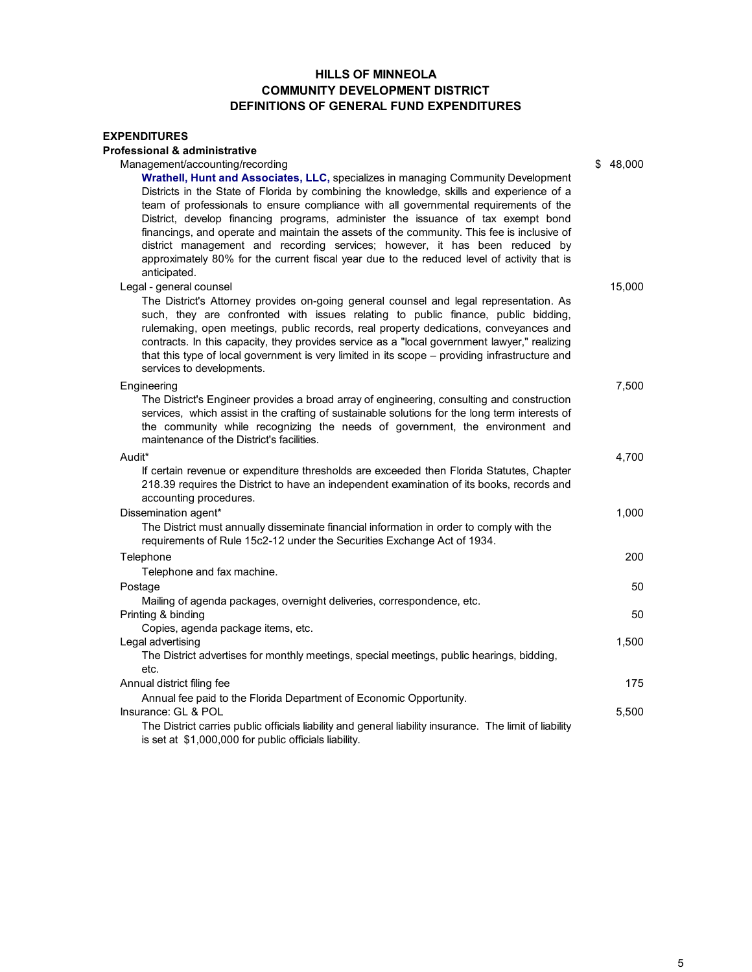## **HILLS OF MINNEOLA DEFINITIONS OF GENERAL FUND EXPENDITURES COMMUNITY DEVELOPMENT DISTRICT**

| <b>EXPENDITURES</b>                                                                                                                                                                                                                                                                                                                                                                                                                                                                                 |              |
|-----------------------------------------------------------------------------------------------------------------------------------------------------------------------------------------------------------------------------------------------------------------------------------------------------------------------------------------------------------------------------------------------------------------------------------------------------------------------------------------------------|--------------|
| <b>Professional &amp; administrative</b>                                                                                                                                                                                                                                                                                                                                                                                                                                                            |              |
| Management/accounting/recording                                                                                                                                                                                                                                                                                                                                                                                                                                                                     | \$<br>48,000 |
| Wrathell, Hunt and Associates, LLC, specializes in managing Community Development<br>Districts in the State of Florida by combining the knowledge, skills and experience of a<br>team of professionals to ensure compliance with all governmental requirements of the                                                                                                                                                                                                                               |              |
| District, develop financing programs, administer the issuance of tax exempt bond<br>financings, and operate and maintain the assets of the community. This fee is inclusive of<br>district management and recording services; however, it has been reduced by<br>approximately 80% for the current fiscal year due to the reduced level of activity that is<br>anticipated.                                                                                                                         |              |
| Legal - general counsel                                                                                                                                                                                                                                                                                                                                                                                                                                                                             | 15,000       |
| The District's Attorney provides on-going general counsel and legal representation. As<br>such, they are confronted with issues relating to public finance, public bidding,<br>rulemaking, open meetings, public records, real property dedications, conveyances and<br>contracts. In this capacity, they provides service as a "local government lawyer," realizing<br>that this type of local government is very limited in its scope - providing infrastructure and<br>services to developments. |              |
| Engineering                                                                                                                                                                                                                                                                                                                                                                                                                                                                                         | 7,500        |
| The District's Engineer provides a broad array of engineering, consulting and construction<br>services, which assist in the crafting of sustainable solutions for the long term interests of<br>the community while recognizing the needs of government, the environment and<br>maintenance of the District's facilities.                                                                                                                                                                           |              |
| Audit*                                                                                                                                                                                                                                                                                                                                                                                                                                                                                              | 4,700        |
| If certain revenue or expenditure thresholds are exceeded then Florida Statutes, Chapter<br>218.39 requires the District to have an independent examination of its books, records and<br>accounting procedures.                                                                                                                                                                                                                                                                                     |              |
| Dissemination agent*                                                                                                                                                                                                                                                                                                                                                                                                                                                                                | 1,000        |
| The District must annually disseminate financial information in order to comply with the<br>requirements of Rule 15c2-12 under the Securities Exchange Act of 1934.                                                                                                                                                                                                                                                                                                                                 |              |
| Telephone                                                                                                                                                                                                                                                                                                                                                                                                                                                                                           | 200          |
| Telephone and fax machine.                                                                                                                                                                                                                                                                                                                                                                                                                                                                          |              |
| Postage                                                                                                                                                                                                                                                                                                                                                                                                                                                                                             | 50           |
| Mailing of agenda packages, overnight deliveries, correspondence, etc.                                                                                                                                                                                                                                                                                                                                                                                                                              |              |
| Printing & binding<br>Copies, agenda package items, etc.                                                                                                                                                                                                                                                                                                                                                                                                                                            | 50           |
| Legal advertising                                                                                                                                                                                                                                                                                                                                                                                                                                                                                   | 1,500        |
| The District advertises for monthly meetings, special meetings, public hearings, bidding,<br>etc.                                                                                                                                                                                                                                                                                                                                                                                                   |              |
| Annual district filing fee                                                                                                                                                                                                                                                                                                                                                                                                                                                                          | 175          |
| Annual fee paid to the Florida Department of Economic Opportunity.                                                                                                                                                                                                                                                                                                                                                                                                                                  |              |
| Insurance: GL & POL                                                                                                                                                                                                                                                                                                                                                                                                                                                                                 | 5,500        |
| The District carries public officials liability and general liability insurance. The limit of liability<br>is set at \$1,000,000 for public officials liability.                                                                                                                                                                                                                                                                                                                                    |              |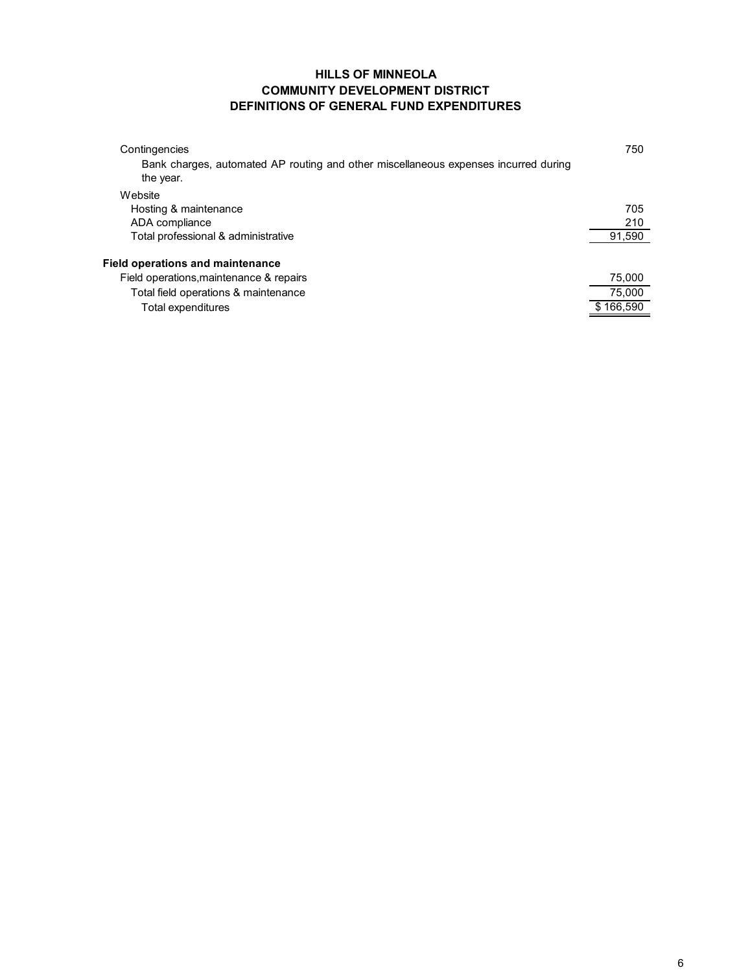## **HILLS OF MINNEOLA DEFINITIONS OF GENERAL FUND EXPENDITURES COMMUNITY DEVELOPMENT DISTRICT**

| Bank charges, automated AP routing and other miscellaneous expenses incurred during<br>the year. |        |
|--------------------------------------------------------------------------------------------------|--------|
| Website                                                                                          |        |
| Hosting & maintenance                                                                            | 705    |
| ADA compliance                                                                                   | 210    |
| Total professional & administrative                                                              | 91,590 |
| <b>Field operations and maintenance</b>                                                          |        |
| Field operations, maintenance & repairs                                                          | 75,000 |
| Total field operations & maintenance                                                             | 75,000 |
| \$166,590<br>Total expenditures                                                                  |        |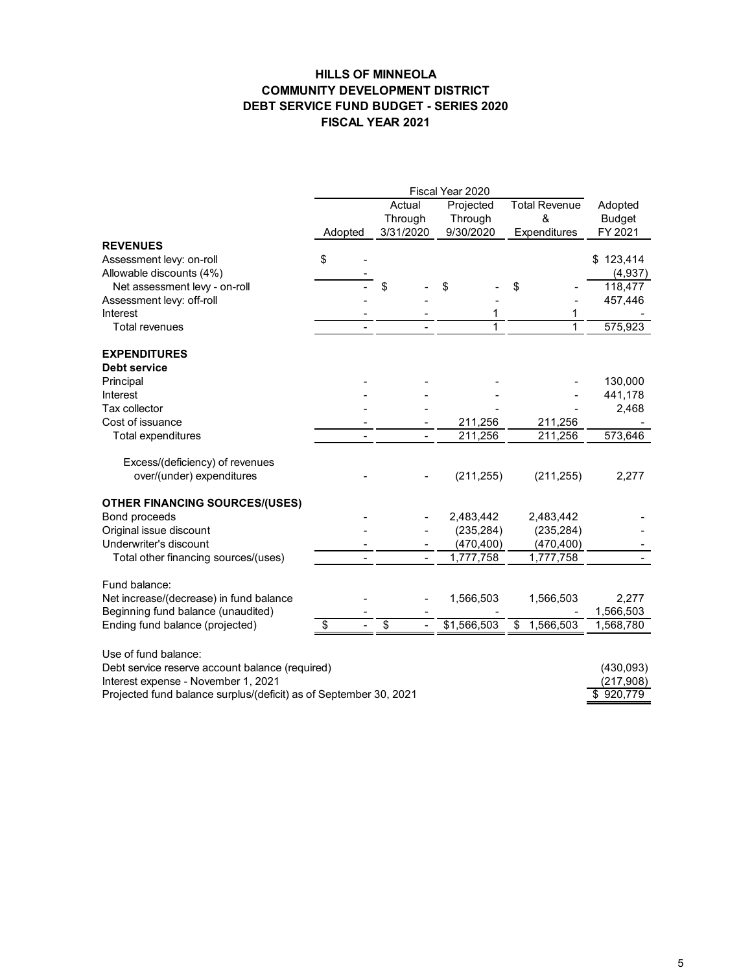# **HILLS OF MINNEOLA COMMUNITY DEVELOPMENT DISTRICT DEBT SERVICE FUND BUDGET - SERIES 2020 FISCAL YEAR 2021**

|                                                                   | Fiscal Year 2020 |                 |                |             |                              |               |
|-------------------------------------------------------------------|------------------|-----------------|----------------|-------------|------------------------------|---------------|
|                                                                   |                  | Actual          |                | Projected   | <b>Total Revenue</b>         | Adopted       |
|                                                                   |                  | Through         |                | Through     | &                            | <b>Budget</b> |
|                                                                   | Adopted          | 3/31/2020       |                | 9/30/2020   | Expenditures                 | FY 2021       |
| <b>REVENUES</b>                                                   |                  |                 |                |             |                              |               |
| Assessment levy: on-roll                                          | \$               |                 |                |             |                              | \$123,414     |
| Allowable discounts (4%)                                          |                  |                 |                |             |                              | (4, 937)      |
| Net assessment levy - on-roll                                     |                  | \$              |                | \$          | \$                           | 118,477       |
| Assessment levy: off-roll                                         |                  |                 |                |             |                              | 457,446       |
| Interest                                                          |                  |                 |                | 1           | 1                            |               |
| Total revenues                                                    |                  |                 |                | 1           | 1                            | 575,923       |
| <b>EXPENDITURES</b>                                               |                  |                 |                |             |                              |               |
| Debt service                                                      |                  |                 |                |             |                              |               |
| Principal                                                         |                  |                 |                |             |                              | 130,000       |
| <b>Interest</b>                                                   |                  |                 |                |             |                              | 441,178       |
| Tax collector                                                     |                  |                 |                |             |                              | 2,468         |
| Cost of issuance                                                  |                  |                 |                | 211,256     | 211,256                      |               |
| Total expenditures                                                |                  |                 |                | 211,256     | 211,256                      | 573,646       |
|                                                                   |                  |                 |                |             |                              |               |
| Excess/(deficiency) of revenues                                   |                  |                 |                |             |                              |               |
| over/(under) expenditures                                         |                  |                 |                | (211, 255)  | (211, 255)                   | 2,277         |
| <b>OTHER FINANCING SOURCES/(USES)</b>                             |                  |                 |                |             |                              |               |
| Bond proceeds                                                     |                  |                 |                | 2,483,442   | 2,483,442                    |               |
| Original issue discount                                           |                  |                 |                | (235, 284)  | (235, 284)                   |               |
| Underwriter's discount                                            |                  |                 |                | (470,400)   | (470,400)                    |               |
| Total other financing sources/(uses)                              |                  |                 |                | 1,777,758   | 1,777,758                    |               |
|                                                                   |                  |                 |                |             |                              |               |
| Fund balance:                                                     |                  |                 |                |             |                              |               |
| Net increase/(decrease) in fund balance                           |                  |                 |                | 1,566,503   | 1,566,503                    | 2,277         |
| Beginning fund balance (unaudited)                                |                  |                 |                |             |                              | 1,566,503     |
| Ending fund balance (projected)                                   | \$               | $\overline{\$}$ | $\overline{a}$ | \$1,566,503 | $\overline{\$}$<br>1,566,503 | 1,568,780     |
| Use of fund balance:                                              |                  |                 |                |             |                              |               |
| Debt service reserve account balance (required)                   |                  |                 |                |             |                              | (430,093)     |
| Interest expense - November 1, 2021                               |                  |                 |                |             |                              | (217,908)     |
| Projected fund balance surplus/(deficit) as of September 30, 2021 |                  |                 |                |             |                              | \$920,779     |
|                                                                   |                  |                 |                |             |                              |               |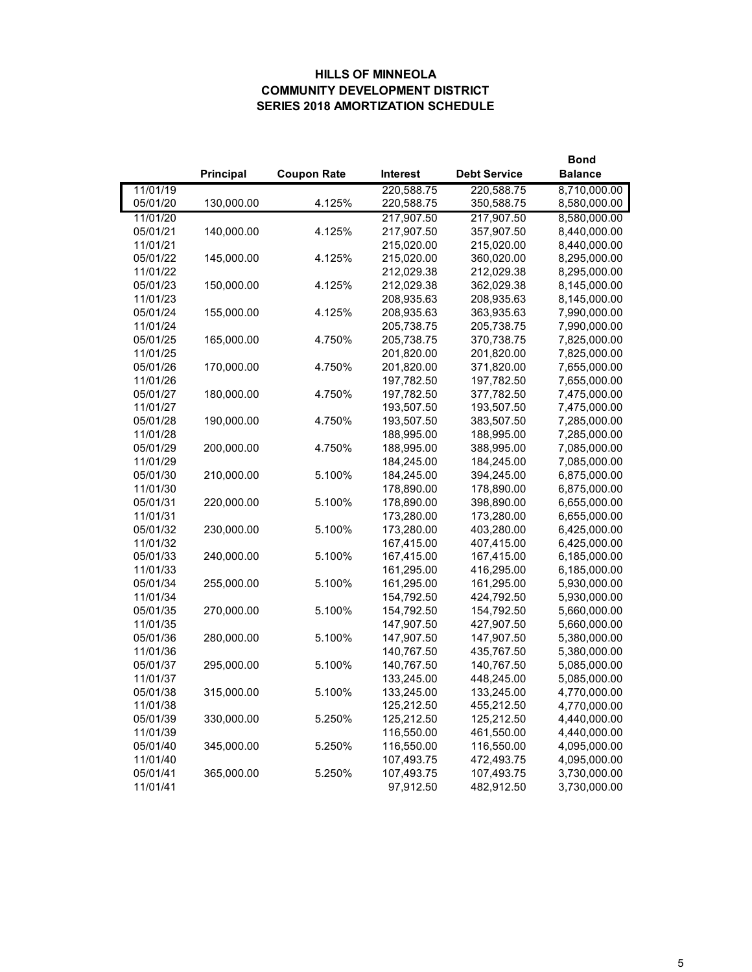## **HILLS OF MINNEOLA COMMUNITY DEVELOPMENT DISTRICT SERIES 2018 AMORTIZATION SCHEDULE**

|          |                  |                    |                 |                     | <b>Bond</b>    |
|----------|------------------|--------------------|-----------------|---------------------|----------------|
|          | <b>Principal</b> | <b>Coupon Rate</b> | <b>Interest</b> | <b>Debt Service</b> | <b>Balance</b> |
| 11/01/19 |                  |                    | 220,588.75      | 220,588.75          | 8,710,000.00   |
| 05/01/20 | 130,000.00       | 4.125%             | 220,588.75      | 350,588.75          | 8,580,000.00   |
| 11/01/20 |                  |                    | 217,907.50      | 217,907.50          | 8,580,000.00   |
| 05/01/21 | 140,000.00       | 4.125%             | 217,907.50      | 357,907.50          | 8,440,000.00   |
| 11/01/21 |                  |                    | 215,020.00      | 215,020.00          | 8,440,000.00   |
| 05/01/22 | 145,000.00       | 4.125%             | 215,020.00      | 360,020.00          | 8,295,000.00   |
| 11/01/22 |                  |                    | 212,029.38      | 212,029.38          | 8,295,000.00   |
| 05/01/23 | 150,000.00       | 4.125%             | 212,029.38      | 362,029.38          | 8,145,000.00   |
| 11/01/23 |                  |                    | 208,935.63      | 208,935.63          | 8,145,000.00   |
| 05/01/24 | 155,000.00       | 4.125%             | 208,935.63      | 363,935.63          | 7,990,000.00   |
| 11/01/24 |                  |                    | 205,738.75      | 205,738.75          | 7,990,000.00   |
| 05/01/25 | 165,000.00       | 4.750%             | 205,738.75      | 370,738.75          | 7,825,000.00   |
| 11/01/25 |                  |                    | 201,820.00      | 201,820.00          | 7,825,000.00   |
| 05/01/26 | 170,000.00       | 4.750%             | 201,820.00      | 371,820.00          | 7,655,000.00   |
| 11/01/26 |                  |                    | 197,782.50      | 197,782.50          | 7,655,000.00   |
| 05/01/27 | 180,000.00       | 4.750%             | 197,782.50      | 377,782.50          | 7,475,000.00   |
| 11/01/27 |                  |                    | 193,507.50      | 193,507.50          | 7,475,000.00   |
| 05/01/28 | 190,000.00       | 4.750%             | 193,507.50      | 383,507.50          | 7,285,000.00   |
| 11/01/28 |                  |                    | 188,995.00      | 188,995.00          | 7,285,000.00   |
| 05/01/29 | 200,000.00       | 4.750%             | 188,995.00      | 388,995.00          | 7,085,000.00   |
| 11/01/29 |                  |                    | 184,245.00      | 184,245.00          | 7,085,000.00   |
| 05/01/30 | 210,000.00       | 5.100%             | 184,245.00      | 394,245.00          | 6,875,000.00   |
| 11/01/30 |                  |                    | 178,890.00      | 178,890.00          | 6,875,000.00   |
| 05/01/31 | 220,000.00       | 5.100%             | 178,890.00      | 398,890.00          | 6,655,000.00   |
| 11/01/31 |                  |                    | 173,280.00      | 173,280.00          | 6,655,000.00   |
| 05/01/32 | 230,000.00       | 5.100%             | 173,280.00      | 403,280.00          | 6,425,000.00   |
| 11/01/32 |                  |                    | 167,415.00      | 407,415.00          | 6,425,000.00   |
| 05/01/33 | 240,000.00       | 5.100%             | 167,415.00      | 167,415.00          | 6,185,000.00   |
| 11/01/33 |                  |                    | 161,295.00      | 416,295.00          | 6,185,000.00   |
| 05/01/34 | 255,000.00       | 5.100%             | 161,295.00      | 161,295.00          | 5,930,000.00   |
| 11/01/34 |                  |                    | 154,792.50      | 424,792.50          | 5,930,000.00   |
| 05/01/35 | 270,000.00       | 5.100%             | 154,792.50      | 154,792.50          | 5,660,000.00   |
| 11/01/35 |                  |                    | 147,907.50      | 427,907.50          | 5,660,000.00   |
| 05/01/36 | 280,000.00       | 5.100%             | 147,907.50      | 147,907.50          | 5,380,000.00   |
| 11/01/36 |                  |                    | 140,767.50      | 435,767.50          | 5,380,000.00   |
| 05/01/37 | 295,000.00       | 5.100%             | 140,767.50      | 140,767.50          | 5,085,000.00   |
| 11/01/37 |                  |                    | 133,245.00      | 448,245.00          | 5,085,000.00   |
| 05/01/38 | 315,000.00       | 5.100%             | 133,245.00      | 133,245.00          | 4,770,000.00   |
| 11/01/38 |                  |                    | 125,212.50      | 455,212.50          | 4,770,000.00   |
| 05/01/39 | 330,000.00       | 5.250%             | 125,212.50      | 125,212.50          | 4,440,000.00   |
| 11/01/39 |                  |                    | 116,550.00      | 461,550.00          | 4,440,000.00   |
| 05/01/40 | 345,000.00       | 5.250%             | 116,550.00      | 116,550.00          | 4,095,000.00   |
| 11/01/40 |                  |                    | 107,493.75      | 472,493.75          | 4,095,000.00   |
| 05/01/41 | 365,000.00       | 5.250%             | 107,493.75      | 107,493.75          | 3,730,000.00   |
| 11/01/41 |                  |                    | 97,912.50       | 482,912.50          | 3,730,000.00   |